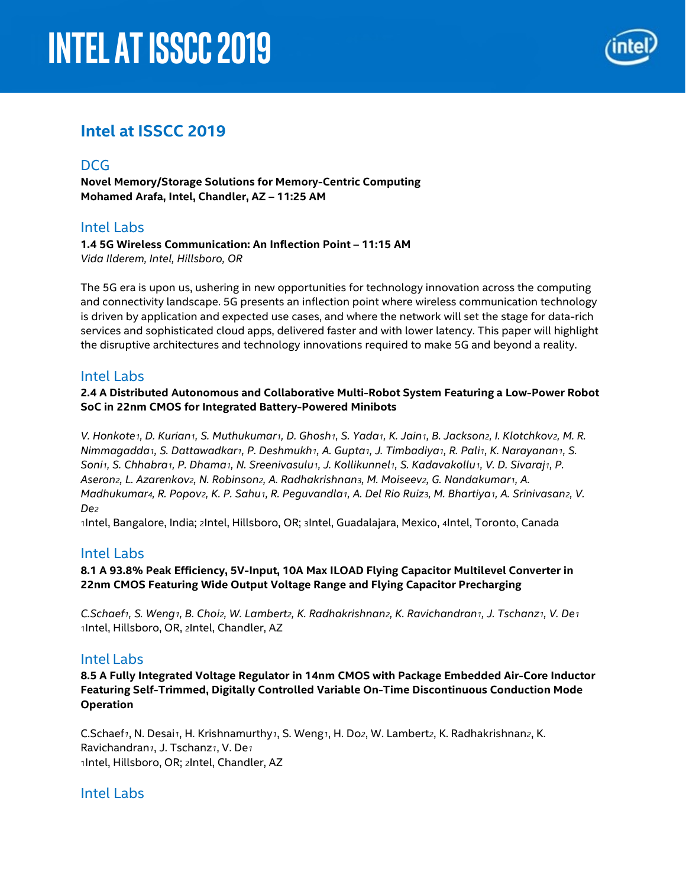# **Intel AT ISSCC 2019**



## **Intel at ISSCC 2019**

## **DCG**

**Novel Memory/Storage Solutions for Memory-Centric Computing Mohamed Arafa, Intel, Chandler, AZ – 11:25 AM**

## Intel Labs

**1.4 5G Wireless Communication: An Inflection Point** – **11:15 AM** *Vida Ilderem, Intel, Hillsboro, OR*

The 5G era is upon us, ushering in new opportunities for technology innovation across the computing and connectivity landscape. 5G presents an inflection point where wireless communication technology is driven by application and expected use cases, and where the network will set the stage for data-rich services and sophisticated cloud apps, delivered faster and with lower latency. This paper will highlight the disruptive architectures and technology innovations required to make 5G and beyond a reality.

## Intel Labs

**2.4 A Distributed Autonomous and Collaborative Multi-Robot System Featuring a Low-Power Robot SoC in 22nm CMOS for Integrated Battery-Powered Minibots**

*V. Honkote1, D. Kurian1, S. Muthukumar1, D. Ghosh1, S. Yada1, K. Jain1, B. Jackson2, I. Klotchkov2, M. R. Nimmagadda1, S. Dattawadkar1, P. Deshmukh1, A. Gupta1, J. Timbadiya1, R. Pali1, K. Narayanan1, S.*  Soni1, S. Chhabra1, P. Dhama1, N. Sreenivasulu1, J. Kollikunnel1, S. Kadavakollu1, V. D. Sivaraj1, P. *Aseron2, L. Azarenkov2, N. Robinson2, A. Radhakrishnan3, M. Moiseev2, G. Nandakumar1, A. Madhukumar4, R. Popov2, K. P. Sahu1, R. Peguvandla1, A. Del Rio Ruiz3, M. Bhartiya1, A. Srinivasan2, V. De2*

1Intel, Bangalore, India; 2Intel, Hillsboro, OR; 3Intel, Guadalajara, Mexico, 4Intel, Toronto, Canada

## Intel Labs

#### **8.1 A 93.8% Peak Efficiency, 5V-Input, 10A Max ILOAD Flying Capacitor Multilevel Converter in 22nm CMOS Featuring Wide Output Voltage Range and Flying Capacitor Precharging**

*C.Schaef1, S. Weng1, B. Choi2, W. Lambert2, K. Radhakrishnan2, K. Ravichandran1, J. Tschanz1, V. De1* 1Intel, Hillsboro, OR, 2Intel, Chandler, AZ

## Intel Labs

**8.5 A Fully Integrated Voltage Regulator in 14nm CMOS with Package Embedded Air-Core Inductor Featuring Self-Trimmed, Digitally Controlled Variable On-Time Discontinuous Conduction Mode Operation**

C.Schaef*1*, N. Desai*1*, H. Krishnamurthy*1*, S. Weng*1*, H. Do*2*, W. Lambert*2*, K. Radhakrishnan*2*, K. Ravichandran*1*, J. Tschanz*1*, V. De*<sup>1</sup>* 1Intel, Hillsboro, OR; 2Intel, Chandler, AZ

## Intel Labs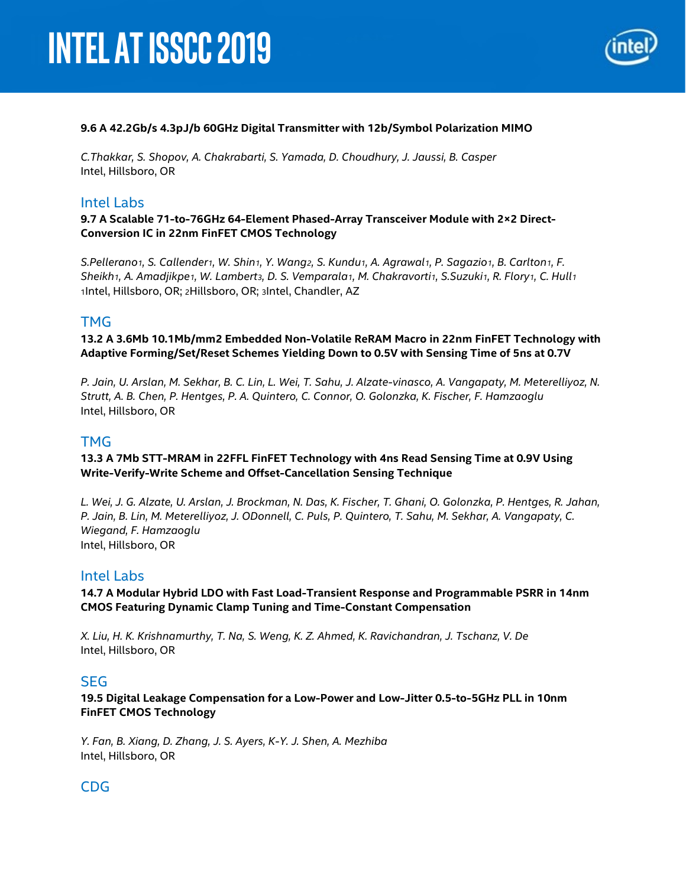

#### **9.6 A 42.2Gb/s 4.3pJ/b 60GHz Digital Transmitter with 12b/Symbol Polarization MIMO**

*C.Thakkar, S. Shopov, A. Chakrabarti, S. Yamada, D. Choudhury, J. Jaussi, B. Casper* Intel, Hillsboro, OR

#### Intel Labs

**9.7 A Scalable 71-to-76GHz 64-Element Phased-Array Transceiver Module with 2×2 Direct-Conversion IC in 22nm FinFET CMOS Technology**

*S.Pellerano1, S. Callender1, W. Shin1, Y. Wang2, S. Kundu1, A. Agrawal1, P. Sagazio1, B. Carlton1, F. Sheikh1, A. Amadjikpe1, W. Lambert3, D. S. Vemparala1, M. Chakravorti1, S.Suzuki1, R. Flory1, C. Hull1* 1Intel, Hillsboro, OR; 2Hillsboro, OR; 3Intel, Chandler, AZ

#### TMG

**13.2 A 3.6Mb 10.1Mb/mm2 Embedded Non-Volatile ReRAM Macro in 22nm FinFET Technology with Adaptive Forming/Set/Reset Schemes Yielding Down to 0.5V with Sensing Time of 5ns at 0.7V**

*P. Jain, U. Arslan, M. Sekhar, B. C. Lin, L. Wei, T. Sahu, J. Alzate-vinasco, A. Vangapaty, M. Meterelliyoz, N. Strutt, A. B. Chen, P. Hentges, P. A. Quintero, C. Connor, O. Golonzka, K. Fischer, F. Hamzaoglu* Intel, Hillsboro, OR

#### **TMG**

#### **13.3 A 7Mb STT-MRAM in 22FFL FinFET Technology with 4ns Read Sensing Time at 0.9V Using Write-Verify-Write Scheme and Offset-Cancellation Sensing Technique**

*L. Wei, J. G. Alzate, U. Arslan, J. Brockman, N. Das, K. Fischer, T. Ghani, O. Golonzka, P. Hentges, R. Jahan, P. Jain, B. Lin, M. Meterelliyoz, J. ODonnell, C. Puls, P. Quintero, T. Sahu, M. Sekhar, A. Vangapaty, C. Wiegand, F. Hamzaoglu* Intel, Hillsboro, OR

#### Intel Labs

**14.7 A Modular Hybrid LDO with Fast Load-Transient Response and Programmable PSRR in 14nm CMOS Featuring Dynamic Clamp Tuning and Time-Constant Compensation**

*X. Liu, H. K. Krishnamurthy, T. Na, S. Weng, K. Z. Ahmed, K. Ravichandran, J. Tschanz, V. De* Intel, Hillsboro, OR

#### SEG

**19.5 Digital Leakage Compensation for a Low-Power and Low-Jitter 0.5-to-5GHz PLL in 10nm FinFET CMOS Technology**

*Y. Fan, B. Xiang, D. Zhang, J. S. Ayers, K-Y. J. Shen, A. Mezhiba* Intel, Hillsboro, OR

## CDG